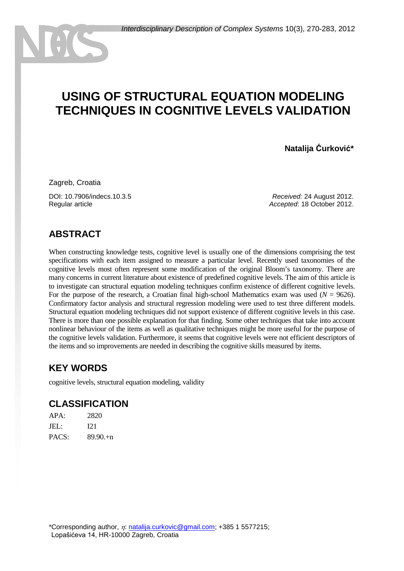# **USING OF STRUCTURAL EQUATION MODELING TECHNIQUES IN COGNITIVE LEVELS VALIDATION**

**Natalija Ćurković\***

Zagreb, Croatia

DOI: 10.7906/indecs.10.3.5 Regular article

*Received:* 24 August 2012. *Accepted*: 18 October 2012.

#### **ABSTRACT**

When constructing knowledge tests, cognitive level is usually one of the dimensions comprising the test specifications with each item assigned to measure a particular level. Recently used taxonomies of the cognitive levels most often represent some modification of the original Bloom's taxonomy. There are many concerns in current literature about existence of predefined cognitive levels. The aim of this article is to investigate can structural equation modeling techniques confirm existence of different cognitive levels. For the purpose of the research, a Croatian final high-school Mathematics exam was used  $(N = 9626)$ . Confirmatory factor analysis and structural regression modeling were used to test three different models. Structural equation modeling techniques did not support existence of different cognitive levels in this case. There is more than one possible explanation for that finding. Some other techniques that take into account nonlinear behaviour of the items as well as qualitative techniques might be more useful for the purpose of the cognitive levels validation. Furthermore, it seems that cognitive levels were not efficient descriptors of the items and so improvements are needed in describing the cognitive skills measured by items.

#### **KEY WORDS**

cognitive levels, structural equation modeling, validity

#### **CLASSIFICATION**

| APA:  | 2820       |
|-------|------------|
| JEL:  | 12.1       |
| PACS: | $89.90.+n$ |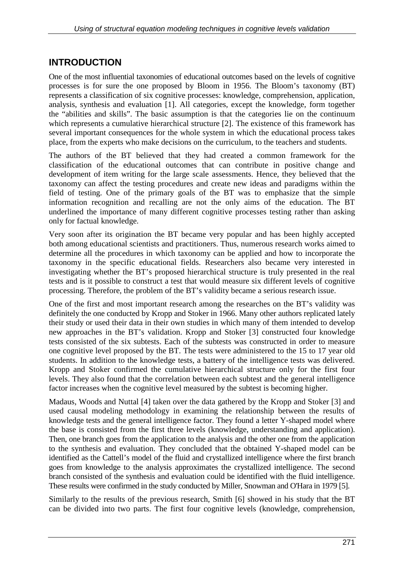## **INTRODUCTION**

One of the most influential taxonomies of educational outcomes based on the levels of cognitive processes is for sure the one proposed by Bloom in 1956. The Bloom's taxonomy (BT) represents a classification of six cognitive processes: knowledge, comprehension, application, analysis, synthesis and evaluation [1]. All categories, except the knowledge, form together the "abilities and skills". The basic assumption is that the categories lie on the continuum which represents a cumulative hierarchical structure [2]. The existence of this framework has several important consequences for the whole system in which the educational process takes place, from the experts who make decisions on the curriculum, to the teachers and students.

The authors of the BT believed that they had created a common framework for the classification of the educational outcomes that can contribute in positive change and development of item writing for the large scale assessments. Hence, they believed that the taxonomy can affect the testing procedures and create new ideas and paradigms within the field of testing. One of the primary goals of the BT was to emphasize that the simple information recognition and recalling are not the only aims of the education. The BT underlined the importance of many different cognitive processes testing rather than asking only for factual knowledge.

Very soon after its origination the BT became very popular and has been highly accepted both among educational scientists and practitioners. Thus, numerous research works aimed to determine all the procedures in which taxonomy can be applied and how to incorporate the taxonomy in the specific educational fields. Researchers also became very interested in investigating whether the BT's proposed hierarchical structure is truly presented in the real tests and is it possible to construct a test that would measure six different levels of cognitive processing. Therefore, the problem of the BT's validity became a serious research issue.

One of the first and most important research among the researches on the BT's validity was definitely the one conducted by Kropp and Stoker in 1966. Many other authors replicated lately their study or used their data in their own studies in which many of them intended to develop new approaches in the BT's validation. Kropp and Stoker [3] constructed four knowledge tests consisted of the six subtests. Each of the subtests was constructed in order to measure one cognitive level proposed by the BT. The tests were administered to the 15 to 17 year old students. In addition to the knowledge tests, a battery of the intelligence tests was delivered. Kropp and Stoker confirmed the cumulative hierarchical structure only for the first four levels. They also found that the correlation between each subtest and the general intelligence factor increases when the cognitive level measured by the subtest is becoming higher.

Madaus, Woods and Nuttal [4] taken over the data gathered by the Kropp and Stoker [3] and used causal modeling methodology in examining the relationship between the results of knowledge tests and the general intelligence factor. They found a letter Y-shaped model where the base is consisted from the first three levels (knowledge, understanding and application). Then, one branch goes from the application to the analysis and the other one from the application to the synthesis and evaluation. They concluded that the obtained Y-shaped model can be identified as the Cattell's model of the fluid and crystallized intelligence where the first branch goes from knowledge to the analysis approximates the crystallized intelligence. The second branch consisted of the synthesis and evaluation could be identified with the fluid intelligence. These results were confirmed in the study conducted by Miller, Snowman and O'Hara in 1979 [5].

Similarly to the results of the previous research, Smith [6] showed in his study that the BT can be divided into two parts. The first four cognitive levels (knowledge, comprehension,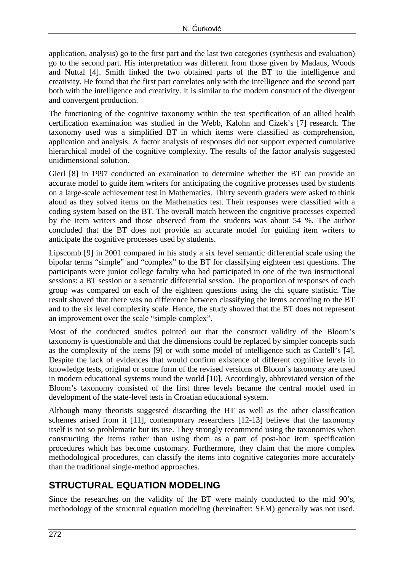application, analysis) go to the first part and the last two categories (synthesis and evaluation) go to the second part. His interpretation was different from those given by Madaus, Woods and Nuttal [4]. Smith linked the two obtained parts of the BT to the intelligence and creativity. He found that the first part correlates only with the intelligence and the second part both with the intelligence and creativity. It is similar to the modern construct of the divergent and convergent production.

The functioning of the cognitive taxonomy within the test specification of an allied health certification examination was studied in the Webb, Kalohn and Cizek's [7] research. The taxonomy used was a simplified BT in which items were classified as comprehension, application and analysis. A factor analysis of responses did not support expected cumulative hierarchical model of the cognitive complexity. The results of the factor analysis suggested unidimensional solution.

Gierl [8] in 1997 conducted an examination to determine whether the BT can provide an accurate model to guide item writers for anticipating the cognitive processes used by students on a large-scale achievement test in Mathematics. Thirty seventh graders were asked to think aloud as they solved items on the Mathematics test. Their responses were classified with a coding system based on the BT. The overall match between the cognitive processes expected by the item writers and those observed from the students was about 54 %. The author concluded that the BT does not provide an accurate model for guiding item writers to anticipate the cognitive processes used by students.

Lipscomb [9] in 2001 compared in his study a six level semantic differential scale using the bipolar terms "simple" and "complex" to the BT for classifying eighteen test questions. The participants were junior college faculty who had participated in one of the two instructional sessions: a BT session or a semantic differential session. The proportion of responses of each group was compared on each of the eighteen questions using the chi square statistic. The result showed that there was no difference between classifying the items according to the BT and to the six level complexity scale. Hence, the study showed that the BT does not represent an improvement over the scale "simple-complex".

Most of the conducted studies pointed out that the construct validity of the Bloom's taxonomy is questionable and that the dimensions could be replaced by simpler concepts such as the complexity of the items [9] or with some model of intelligence such as Cattell's [4]. Despite the lack of evidences that would confirm existence of different cognitive levels in knowledge tests, original or some form of the revised versions of Bloom's taxonomy are used in modern educational systems round the world [10]. Accordingly, abbreviated version of the Bloom's taxonomy consisted of the first three levels became the central model used in development of the state-level tests in Croatian educational system.

Although many theorists suggested discarding the BT as well as the other classification schemes arised from it [11], contemporary researchers [12-13] believe that the taxonomy itself is not so problematic but its use. They strongly recommend using the taxonomies when constructing the items rather than using them as a part of post-hoc item specification procedures which has become customary. Furthermore, they claim that the more complex methodological procedures, can classify the items into cognitive categories more accurately than the traditional single-method approaches.

### **STRUCTURAL EQUATION MODELING**

Since the researches on the validity of the BT were mainly conducted to the mid 90's, methodology of the structural equation modeling (hereinafter: SEM) generally was not used.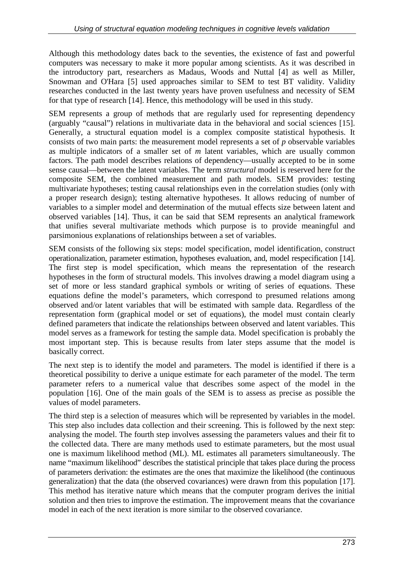Although this methodology dates back to the seventies, the existence of fast and powerful computers was necessary to make it more popular among scientists. As it was described in the introductory part, researchers as Madaus, Woods and Nuttal [4] as well as Miller, Snowman and O'Hara [5] used approaches similar to SEM to test BT validity. Validity researches conducted in the last twenty years have proven usefulness and necessity of SEM for that type of research [14]. Hence, this methodology will be used in this study.

SEM represents a group of methods that are regularly used for representing dependency (arguably "causal") relations in multivariate data in the behavioral and social sciences [15]. Generally, a structural equation model is a complex composite statistical hypothesis. It consists of two main parts: the measurement model represents a set of *p* observable variables as multiple indicators of a smaller set of *m* latent variables, which are usually common factors. The path model describes relations of dependency—usually accepted to be in some sense causal—between the latent variables. The term *structural* model is reserved here for the composite SEM, the combined measurement and path models. SEM provides: testing multivariate hypotheses; testing causal relationships even in the correlation studies (only with a proper research design); testing alternative hypotheses. It allows reducing of number of variables to a simpler model and determination of the mutual effects size between latent and observed variables [14]. Thus, it can be said that SEM represents an analytical framework that unifies several multivariate methods which purpose is to provide meaningful and parsimonious explanations of relationships between a set of variables.

SEM consists of the following six steps: model specification, model identification, construct operationalization, parameter estimation, hypotheses evaluation, and, model respecification [14]. The first step is model specification, which means the representation of the research hypotheses in the form of structural models. This involves drawing a model diagram using a set of more or less standard graphical symbols or writing of series of equations. These equations define the model's parameters, which correspond to presumed relations among observed and/or latent variables that will be estimated with sample data. Regardless of the representation form (graphical model or set of equations), the model must contain clearly defined parameters that indicate the relationships between observed and latent variables. This model serves as a framework for testing the sample data. Model specification is probably the most important step. This is because results from later steps assume that the model is basically correct.

The next step is to identify the model and parameters. The model is identified if there is a theoretical possibility to derive a unique estimate for each parameter of the model. The term parameter refers to a numerical value that describes some aspect of the model in the population [16]. One of the main goals of the SEM is to assess as precise as possible the values of model parameters.

The third step is a selection of measures which will be represented by variables in the model. This step also includes data collection and their screening. This is followed by the next step: analysing the model. The fourth step involves assessing the parameters values and their fit to the collected data. There are many methods used to estimate parameters, but the most usual one is maximum likelihood method (ML). ML estimates all parameters simultaneously. The name "maximum likelihood" describes the statistical principle that takes place during the process of parameters derivation: the estimates are the ones that maximize the likelihood (the continuous generalization) that the data (the observed covariances) were drawn from this population [17]. This method has iterative nature which means that the computer program derives the initial solution and then tries to improve the estimation. The improvement means that the covariance model in each of the next iteration is more similar to the observed covariance.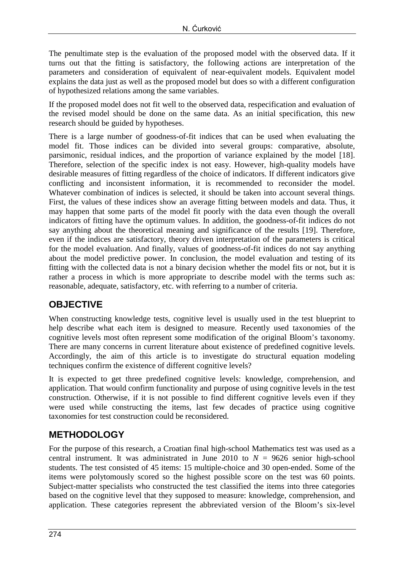The penultimate step is the evaluation of the proposed model with the observed data. If it turns out that the fitting is satisfactory, the following actions are interpretation of the parameters and consideration of equivalent of near-equivalent models. Equivalent model explains the data just as well as the proposed model but does so with a different configuration of hypothesized relations among the same variables.

If the proposed model does not fit well to the observed data, respecification and evaluation of the revised model should be done on the same data. As an initial specification, this new research should be guided by hypotheses.

There is a large number of goodness-of-fit indices that can be used when evaluating the model fit. Those indices can be divided into several groups: comparative, absolute, parsimonic, residual indices, and the proportion of variance explained by the model [18]. Therefore, selection of the specific index is not easy. However, high-quality models have desirable measures of fitting regardless of the choice of indicators. If different indicators give conflicting and inconsistent information, it is recommended to reconsider the model. Whatever combination of indices is selected, it should be taken into account several things. First, the values of these indices show an average fitting between models and data. Thus, it may happen that some parts of the model fit poorly with the data even though the overall indicators of fitting have the optimum values. In addition, the goodness-of-fit indices do not say anything about the theoretical meaning and significance of the results [19]. Therefore, even if the indices are satisfactory, theory driven interpretation of the parameters is critical for the model evaluation. And finally, values of goodness-of-fit indices do not say anything about the model predictive power. In conclusion, the model evaluation and testing of its fitting with the collected data is not a binary decision whether the model fits or not, but it is rather a process in which is more appropriate to describe model with the terms such as: reasonable, adequate, satisfactory, etc. with referring to a number of criteria.

#### **OBJECTIVE**

When constructing knowledge tests, cognitive level is usually used in the test blueprint to help describe what each item is designed to measure. Recently used taxonomies of the cognitive levels most often represent some modification of the original Bloom's taxonomy. There are many concerns in current literature about existence of predefined cognitive levels. Accordingly, the aim of this article is to investigate do structural equation modeling techniques confirm the existence of different cognitive levels?

It is expected to get three predefined cognitive levels: knowledge, comprehension, and application. That would confirm functionality and purpose of using cognitive levels in the test construction. Otherwise, if it is not possible to find different cognitive levels even if they were used while constructing the items, last few decades of practice using cognitive taxonomies for test construction could be reconsidered.

### **METHODOLOGY**

For the purpose of this research, a Croatian final high-school Mathematics test was used as a central instrument. It was administrated in June 2010 to  $N = 9626$  senior high-school students. The test consisted of 45 items: 15 multiple-choice and 30 open-ended. Some of the items were polytomously scored so the highest possible score on the test was 60 points. Subject-matter specialists who constructed the test classified the items into three categories based on the cognitive level that they supposed to measure: knowledge, comprehension, and application. These categories represent the abbreviated version of the Bloom's six-level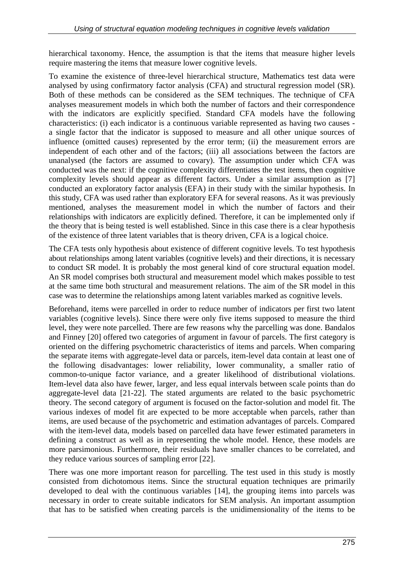hierarchical taxonomy. Hence, the assumption is that the items that measure higher levels require mastering the items that measure lower cognitive levels.

To examine the existence of three-level hierarchical structure, Mathematics test data were analysed by using confirmatory factor analysis (CFA) and structural regression model (SR). Both of these methods can be considered as the SEM techniques. The technique of CFA analyses measurement models in which both the number of factors and their correspondence with the indicators are explicitly specified. Standard CFA models have the following characteristics: (i) each indicator is a continuous variable represented as having two causes a single factor that the indicator is supposed to measure and all other unique sources of influence (omitted causes) represented by the error term; (ii) the measurement errors are independent of each other and of the factors; (iii) all associations between the factors are unanalysed (the factors are assumed to covary). The assumption under which CFA was conducted was the next: if the cognitive complexity differentiates the test items, then cognitive complexity levels should appear as different factors. Under a similar assumption as [7] conducted an exploratory factor analysis (EFA) in their study with the similar hypothesis. In this study, CFA was used rather than exploratory EFA for several reasons. As it was previously mentioned, analyses the measurement model in which the number of factors and their relationships with indicators are explicitly defined. Therefore, it can be implemented only if the theory that is being tested is well established. Since in this case there is a clear hypothesis of the existence of three latent variables that is theory driven, CFA is a logical choice.

The CFA tests only hypothesis about existence of different cognitive levels. To test hypothesis about relationships among latent variables (cognitive levels) and their directions, it is necessary to conduct SR model. It is probably the most general kind of core structural equation model. An SR model comprises both structural and measurement model which makes possible to test at the same time both structural and measurement relations. The aim of the SR model in this case was to determine the relationships among latent variables marked as cognitive levels.

Beforehand, items were parcelled in order to reduce number of indicators per first two latent variables (cognitive levels). Since there were only five items supposed to measure the third level, they were note parcelled. There are few reasons why the parcelling was done. Bandalos and Finney [20] offered two categories of argument in favour of parcels. The first category is oriented on the differing psychometric characteristics of items and parcels. When comparing the separate items with aggregate-level data or parcels, item-level data contain at least one of the following disadvantages: lower reliability, lower communality, a smaller ratio of common-to-unique factor variance, and a greater likelihood of distributional violations. Item-level data also have fewer, larger, and less equal intervals between scale points than do aggregate-level data [21-22]. The stated arguments are related to the basic psychometric theory. The second category of argument is focused on the factor-solution and model fit. The various indexes of model fit are expected to be more acceptable when parcels, rather than items, are used because of the psychometric and estimation advantages of parcels. Compared with the item-level data, models based on parcelled data have fewer estimated parameters in defining a construct as well as in representing the whole model. Hence, these models are more parsimonious. Furthermore, their residuals have smaller chances to be correlated, and they reduce various sources of sampling error [22].

There was one more important reason for parcelling. The test used in this study is mostly consisted from dichotomous items. Since the structural equation techniques are primarily developed to deal with the continuous variables [14], the grouping items into parcels was necessary in order to create suitable indicators for SEM analysis. An important assumption that has to be satisfied when creating parcels is the unidimensionality of the items to be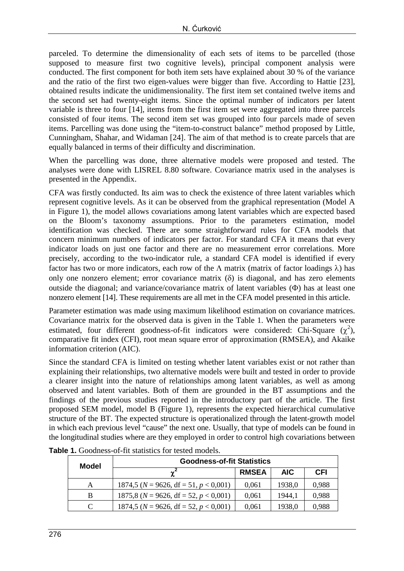parceled. To determine the dimensionality of each sets of items to be parcelled (those supposed to measure first two cognitive levels), principal component analysis were conducted. The first component for both item sets have explained about 30 % of the variance and the ratio of the first two eigen-values were bigger than five. According to Hattie [23], obtained results indicate the unidimensionality. The first item set contained twelve items and the second set had twenty-eight items. Since the optimal number of indicators per latent variable is three to four [14], items from the first item set were aggregated into three parcels consisted of four items. The second item set was grouped into four parcels made of seven items. Parcelling was done using the "item-to-construct balance" method proposed by Little, Cunningham, Shahar, and Widaman [24]. The aim of that method is to create parcels that are equally balanced in terms of their difficulty and discrimination.

When the parcelling was done, three alternative models were proposed and tested. The analyses were done with LISREL 8.80 software. Covariance matrix used in the analyses is presented in the Appendix.

CFA was firstly conducted. Its aim was to check the existence of three latent variables which represent cognitive levels. As it can be observed from the graphical representation (Model A in Figure 1), the model allows covariations among latent variables which are expected based on the Bloom's taxonomy assumptions. Prior to the parameters estimation, model identification was checked. There are some straightforward rules for CFA models that concern minimum numbers of indicators per factor. For standard CFA it means that every indicator loads on just one factor and there are no measurement error correlations. More precisely, according to the two-indicator rule, a standard CFA model is identified if every factor has two or more indicators, each row of the  $\Lambda$  matrix (matrix of factor loadings  $\lambda$ ) has only one nonzero element; error covariance matrix (δ) is diagonal, and has zero elements outside the diagonal; and variance/covariance matrix of latent variables (Φ) has at least one nonzero element [14]. These requirements are all met in the CFA model presented in this article.

Parameter estimation was made using maximum likelihood estimation on covariance matrices. Covariance matrix for the observed data is given in the Table 1. When the parameters were estimated, four different goodness-of-fit indicators were considered: Chi-Square  $(\chi^2)$ , comparative fit index (CFI), root mean square error of approximation (RMSEA), and Akaike information criterion (AIC).

Since the standard CFA is limited on testing whether latent variables exist or not rather than explaining their relationships, two alternative models were built and tested in order to provide a clearer insight into the nature of relationships among latent variables, as well as among observed and latent variables. Both of them are grounded in the BT assumptions and the findings of the previous studies reported in the introductory part of the article. The first proposed SEM model, model B (Figure 1), represents the expected hierarchical cumulative structure of the BT. The expected structure is operationalized through the latent-growth model in which each previous level "cause" the next one. Usually, that type of models can be found in the longitudinal studies where are they employed in order to control high covariations between

| Model | <b>Goodness-of-fit Statistics</b>            |              |        |            |  |  |  |  |  |
|-------|----------------------------------------------|--------------|--------|------------|--|--|--|--|--|
|       |                                              | <b>RMSEA</b> | AIC.   | <b>CFI</b> |  |  |  |  |  |
|       | 1874,5 ( $N = 9626$ , df = 51, $p < 0.001$ ) | 0,061        | 1938,0 | 0,988      |  |  |  |  |  |
| B     | 1875,8 ( $N = 9626$ , df = 52, $p < 0,001$ ) | 0,061        | 1944,1 | 0,988      |  |  |  |  |  |
|       | 1874,5 ( $N = 9626$ , df = 52, $p < 0,001$ ) | 0.061        | 1938,0 | 0,988      |  |  |  |  |  |

**Table 1.** Goodness-of-fit statistics for tested models.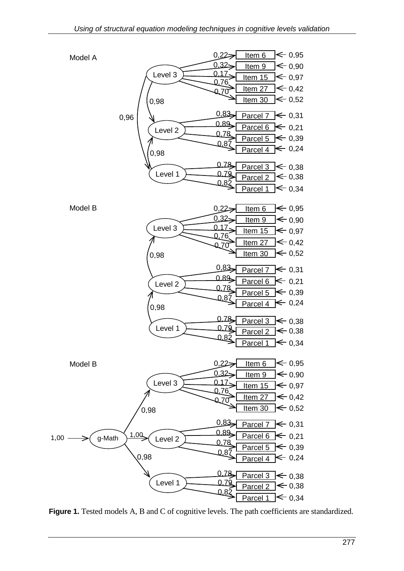



Figure 1. Tested models A, B and C of cognitive levels. The path coefficients are standardized.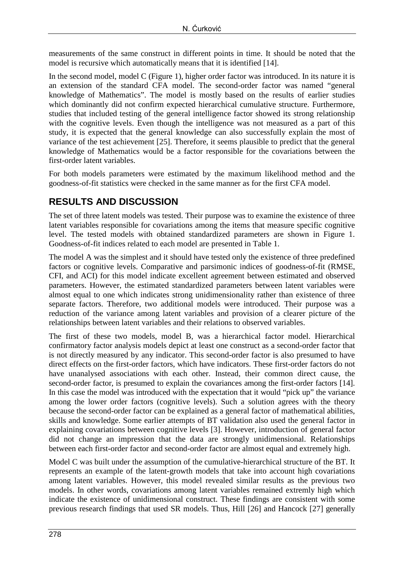measurements of the same construct in different points in time. It should be noted that the model is recursive which automatically means that it is identified [14].

In the second model, model C (Figure 1), higher order factor was introduced. In its nature it is an extension of the standard CFA model. The second-order factor was named "general knowledge of Mathematics". The model is mostly based on the results of earlier studies which dominantly did not confirm expected hierarchical cumulative structure. Furthermore, studies that included testing of the general intelligence factor showed its strong relationship with the cognitive levels. Even though the intelligence was not measured as a part of this study, it is expected that the general knowledge can also successfully explain the most of variance of the test achievement [25]. Therefore, it seems plausible to predict that the general knowledge of Mathematics would be a factor responsible for the covariations between the first-order latent variables.

For both models parameters were estimated by the maximum likelihood method and the goodness-of-fit statistics were checked in the same manner as for the first CFA model.

## **RESULTS AND DISCUSSION**

The set of three latent models was tested. Their purpose was to examine the existence of three latent variables responsible for covariations among the items that measure specific cognitive level. The tested models with obtained standardized parameters are shown in Figure 1. Goodness-of-fit indices related to each model are presented in Table 1.

The model A was the simplest and it should have tested only the existence of three predefined factors or cognitive levels. Comparative and parsimonic indices of goodness-of-fit (RMSE, CFI, and ACI) for this model indicate excellent agreement between estimated and observed parameters. However, the estimated standardized parameters between latent variables were almost equal to one which indicates strong unidimensionality rather than existence of three separate factors. Therefore, two additional models were introduced. Their purpose was a reduction of the variance among latent variables and provision of a clearer picture of the relationships between latent variables and their relations to observed variables.

The first of these two models, model B, was a hierarchical factor model. Hierarchical confirmatory factor analysis models depict at least one construct as a second-order factor that is not directly measured by any indicator. This second-order factor is also presumed to have direct effects on the first-order factors, which have indicators. These first-order factors do not have unanalysed associations with each other. Instead, their common direct cause, the second-order factor, is presumed to explain the covariances among the first-order factors [14]. In this case the model was introduced with the expectation that it would "pick up" the variance among the lower order factors (cognitive levels). Such a solution agrees with the theory because the second-order factor can be explained as a general factor of mathematical abilities, skills and knowledge. Some earlier attempts of BT validation also used the general factor in explaining covariations between cognitive levels [3]. However, introduction of general factor did not change an impression that the data are strongly unidimensional. Relationships between each first-order factor and second-order factor are almost equal and extremely high.

Model C was built under the assumption of the cumulative-hierarchical structure of the BT. It represents an example of the latent-growth models that take into account high covariations among latent variables. However, this model revealed similar results as the previous two models. In other words, covariations among latent variables remained extremly high which indicate the existence of unidimensional construct. These findings are consistent with some previous research findings that used SR models. Thus, Hill [26] and Hancock [27] generally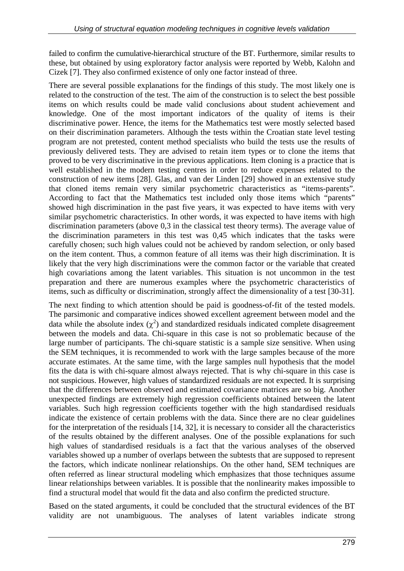failed to confirm the cumulative-hierarchical structure of the BT. Furthermore, similar results to these, but obtained by using exploratory factor analysis were reported by Webb, Kalohn and Cizek [7]. They also confirmed existence of only one factor instead of three.

There are several possible explanations for the findings of this study. The most likely one is related to the construction of the test. The aim of the construction is to select the best possible items on which results could be made valid conclusions about student achievement and knowledge. One of the most important indicators of the quality of items is their discriminative power. Hence, the items for the Mathematics test were mostly selected based on their discrimination parameters. Although the tests within the Croatian state level testing program are not pretested, content method specialists who build the tests use the results of previously delivered tests. They are advised to retain item types or to clone the items that proved to be very discriminative in the previous applications. Item cloning is a practice that is well established in the modern testing centres in order to reduce expenses related to the construction of new items [28]. Glas, and van der Linden [29] showed in an extensive study that cloned items remain very similar psychometric characteristics as "items-parents". According to fact that the Mathematics test included only those items which "parents" showed high discrimination in the past five years, it was expected to have items with very similar psychometric characteristics. In other words, it was expected to have items with high discrimination parameters (above 0,3 in the classical test theory terms). The average value of the discrimination parameters in this test was 0,45 which indicates that the tasks were carefully chosen; such high values could not be achieved by random selection, or only based on the item content. Thus, a common feature of all items was their high discrimination. It is likely that the very high discriminations were the common factor or the variable that created high covariations among the latent variables. This situation is not uncommon in the test preparation and there are numerous examples where the psychometric characteristics of items, such as difficulty or discrimination, strongly affect the dimensionality of a test [30-31].

The next finding to which attention should be paid is goodness-of-fit of the tested models. The parsimonic and comparative indices showed excellent agreement between model and the data while the absolute index  $(\chi^2)$  and standardized residuals indicated complete disagreement between the models and data. Chi-square in this case is not so problematic because of the large number of participants. The chi-square statistic is a sample size sensitive. When using the SEM techniques, it is recommended to work with the large samples because of the more accurate estimates. At the same time, with the large samples null hypothesis that the model fits the data is with chi-square almost always rejected. That is why chi-square in this case is not suspicious. However, high values of standardized residuals are not expected. It is surprising that the differences between observed and estimated covariance matrices are so big. Another unexpected findings are extremely high regression coefficients obtained between the latent variables. Such high regression coefficients together with the high standardised residuals indicate the existence of certain problems with the data. Since there are no clear guidelines for the interpretation of the residuals [14, 32], it is necessary to consider all the characteristics of the results obtained by the different analyses. One of the possible explanations for such high values of standardised residuals is a fact that the various analyses of the observed variables showed up a number of overlaps between the subtests that are supposed to represent the factors, which indicate nonlinear relationships. On the other hand, SEM techniques are often referred as linear structural modeling which emphasizes that those techniques assume linear relationships between variables. It is possible that the nonlinearity makes impossible to find a structural model that would fit the data and also confirm the predicted structure.

Based on the stated arguments, it could be concluded that the structural evidences of the BT validity are not unambiguous. The analyses of latent variables indicate strong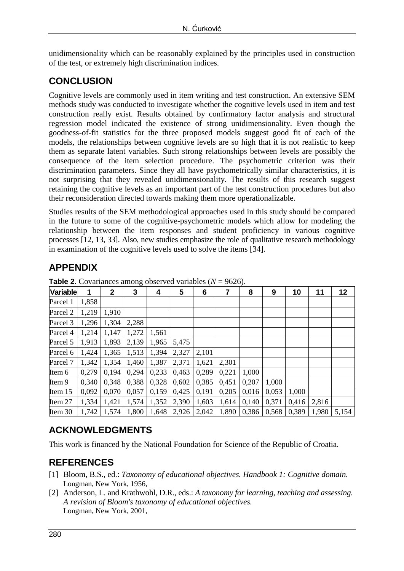unidimensionality which can be reasonably explained by the principles used in construction of the test, or extremely high discrimination indices.

# **CONCLUSION**

Cognitive levels are commonly used in item writing and test construction. An extensive SEM methods study was conducted to investigate whether the cognitive levels used in item and test construction really exist. Results obtained by confirmatory factor analysis and structural regression model indicated the existence of strong unidimensionality. Even though the goodness-of-fit statistics for the three proposed models suggest good fit of each of the models, the relationships between cognitive levels are so high that it is not realistic to keep them as separate latent variables. Such strong relationships between levels are possibly the consequence of the item selection procedure. The psychometric criterion was their discrimination parameters. Since they all have psychometrically similar characteristics, it is not surprising that they revealed unidimensionality. The results of this research suggest retaining the cognitive levels as an important part of the test construction procedures but also their reconsideration directed towards making them more operationalizable.

Studies results of the SEM methodological approaches used in this study should be compared in the future to some of the cognitive-psychometric models which allow for modeling the relationship between the item responses and student proficiency in various cognitive processes [12, 13, 33]. Also, new studies emphasize the role of qualitative research methodology in examination of the cognitive levels used to solve the items [34].

# **APPENDIX**

| Variable | 1     | $\overline{2}$ | 3     | 4     | 5                               | 6     | 7             | 8     | 9     | 10    | 11    | 12    |
|----------|-------|----------------|-------|-------|---------------------------------|-------|---------------|-------|-------|-------|-------|-------|
| Parcel 1 | 1,858 |                |       |       |                                 |       |               |       |       |       |       |       |
| Parcel 2 | 1,219 | 1,910          |       |       |                                 |       |               |       |       |       |       |       |
| Parcel 3 | 1,296 | 1,304          | 2,288 |       |                                 |       |               |       |       |       |       |       |
| Parcel 4 | 1,214 | 1,147          | 1,272 | 1,561 |                                 |       |               |       |       |       |       |       |
| Parcel 5 | 1,913 | 1,893          | 2,139 | 1,965 | 5,475                           |       |               |       |       |       |       |       |
| Parcel 6 | 1,424 | 1,365          | 1,513 | 1,394 | 2,327                           | 2,101 |               |       |       |       |       |       |
| Parcel 7 | 1,342 | 1,354          | 1,460 | 1,387 | 2,371                           | 1,621 | 2,301         |       |       |       |       |       |
| Item 6   | 0,279 | 0,194          | 0,294 | 0,233 | 0,463                           | 0,289 | 0,221         | 1,000 |       |       |       |       |
| Item 9   | 0,340 | 0,348          | 0,388 | 0,328 | 0,602                           | 0,385 | 0,451         | 0,207 | 1,000 |       |       |       |
| Item 15  | 0,092 | 0,070          | 0,057 | 0,159 | 0,425                           | 0,191 | 0,205         | 0,016 | 0,053 | 1,000 |       |       |
| Item 27  | 1,334 | 1,421          | 1,574 | 1,352 | 2,390                           | 1,603 | 1,614         | 0,140 | 0,371 | 0,416 | 2,816 |       |
| Item 30  | 1,742 |                |       |       | $1,574$   1,800   1,648   2,926 |       | $2,042$ 1,890 | 0,386 | 0,568 | 0,389 | 1,980 | 5,154 |

**Table 2.** Covariances among observed variables (*N* = 9626).

### **ACKNOWLEDGMENTS**

This work is financed by the National Foundation for Science of the Republic of Croatia.

### **REFERENCES**

- [1] Bloom, B.S., ed.: *Taxonomy of educational objectives. Handbook 1: Cognitive domain.* Longman, New York, 1956,
- [2] Anderson, L. and Krathwohl, D.R., eds.: *A taxonomy for learning, teaching and assessing. A revision of Bloom's taxonomy of educational objectives.* Longman, New York, 2001,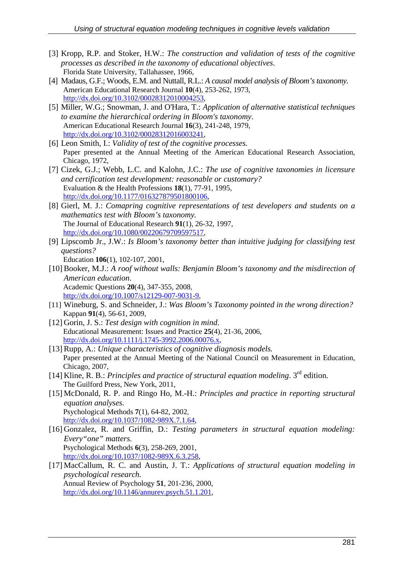- [3] Kropp, R.P. and Stoker, H.W.: *The construction and validation of tests of the cognitive processes as described in the taxonomy of educational objectives*. Florida State University, Tallahassee, 1966,
- [4] Madaus, G.F.; Woods, E.M. and Nuttall, R.L.: *A causal model analysis of Bloom's taxonomy.* American Educational Research Journal **10**(4), 253-262, 1973, [http://dx.doi.org/10.3102/00028312010004253,](http://dx.doi.org/10.3102/00028312010004253)
- [5] Miller, W.G.; Snowman, J. and O'Hara, T.: *Application of alternative statistical techniques to examine the hierarchical ordering in Bloom's taxonomy*. American Educational Research Journal **16**(3), 241-248, 1979, [http://dx.doi.org/10.3102/00028312016003241,](http://dx.doi.org/10.3102/00028312016003241)
- [6] Leon Smith, I.: *Validity of test of the cognitive processes.* Paper presented at the Annual Meeting of the American Educational Research Association, Chicago, 1972,
- [7] Cizek, G.J.; Webb, L.C. and Kalohn, J.C.: *The use of cognitive taxonomies in licensure and certification test development: reasonable or customary?* Evaluation & the Health Professions **18**(1), 77-91, 1995, [http://dx.doi.org/10.1177/016327879501800106,](http://dx.doi.org/10.1177/016327879501800106)
- [8] Gierl, M. J.: *Comapring cognitive representations of test developers and students on a mathematics test with Bloom's taxonomy.* The Journal of Educational Research **91**(1), 26-32, 1997, [http://dx.doi.org/10.1080/00220679709597517,](http://dx.doi.org/10.1080/00220679709597517)
- [9] Lipscomb Jr., J.W.: *Is Bloom's taxonomy better than intuitive judging for classifying test questions?* Education **106**(1), 102-107, 2001,
- [10] Booker, M.J.: *A roof without walls: Benjamin Bloom's taxonomy and the misdirection of American education*. Academic Questions **20**(4), 347-355, 2008, [http://dx.doi.org/10.1007/s12129-007-9031-9,](http://dx.doi.org/10.1007/s12129-007-9031-9)
- [11] Wineburg, S. and Schneider, J.: *Was Bloom's Taxonomy pointed in the wrong direction?* Kappan **91**(4), 56-61, 2009,
- [12] Gorin, J. S.: *Test design with cognition in mind*. Educational Measurement: Issues and Practice **25**(4), 21-36, 2006, [http://dx.doi.org/10.1111/j.1745-3992.2006.00076.x,](http://dx.doi.org/10.1111/j.1745-3992.2006.00076.x)
- [13] Rupp, A.: *Unique characteristics of cognitive diagnosis models.* Paper presented at the Annual Meeting of the National Council on Measurement in Education, Chicago, 2007,
- [14] Kline, R. B.: *Principles and practice of structural equation modeling*. 3rd edition. The Guilford Press, New York, 2011,
- [15] McDonald, R. P. and Ringo Ho, M.-H.: *Principles and practice in reporting structural equation analyses.* Psychological Methods **7**(1), 64-82, 2002, [http://dx.doi.org/10.1037/1082-989X.7.1.64,](http://dx.doi.org/10.1037/1082-989X.7.1.64)
- [16] Gonzalez, R. and Griffin, D.: *Testing parameters in structural equation modeling: Every"one" matters.* Psychological Methods **6**(3), 258-269, 2001, [http://dx.doi.org/10.1037/1082-989X.6.3.258,](http://dx.doi.org/10.1037/1082-989X.6.3.258)
- [17] MacCallum, R. C. and Austin, J. T.: *Applications of structural equation modeling in psychological research.* Annual Review of Psychology **51**, 201-236, 2000, [http://dx.doi.org/10.1146/annurev.psych.51.1.201,](http://dx.doi.org/10.1146/annurev.psych.51.1.201)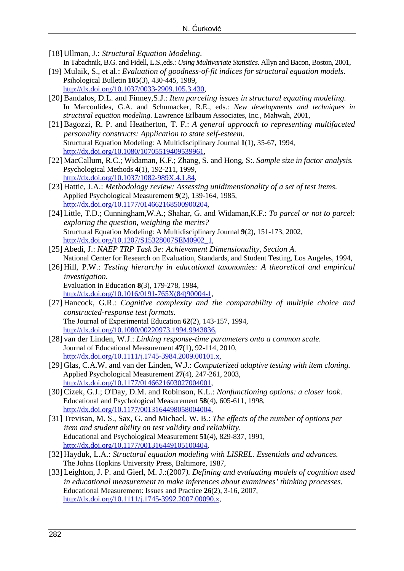- [18] Ullman, J.: *Structural Equation Modeling*. In Tabachnik, B.G. and Fidell, L.S.,eds.: *Using Multivariate Statistics*. Allyn and Bacon, Boston, 2001,
- [19] Mulaik, S., et al.: *Evaluation of goodness-of-fit indices for structural equation models*. Psihological Bulletin **105**(3), 430-445, 1989, [http://dx.doi.org/10.1037/0033-2909.105.3.430,](http://dx.doi.org/10.1037/0033-2909.105.3.430)
- [20] Bandalos, D.L. and Finney,S.J.: *Item parceling issues in structural equating modeling.* In Marcoulides, G.A. and Schumacker, R.E., eds.: *New developments and techniques in structural equation modeling*. Lawrence Erlbaum Associates, Inc., Mahwah, 2001,
- [21] Bagozzi, R. P. and Heatherton, T. F.: *A general approach to representing multifaceted personality constructs: Application to state self-esteem*. Structural Equation Modeling: A Multidisciplinary Journal **1**(1), 35-67, 1994, [http://dx.doi.org/10.1080/10705519409539961,](http://dx.doi.org/10.1080/10705519409539961)
- [22] MacCallum, R.C.; Widaman, K.F.; Zhang, S. and Hong, S:. *Sample size in factor analysis.* Psychological Methods **4**(1), 192-211, 1999, [http://dx.doi.org/10.1037/1082-989X.4.1.84,](http://dx.doi.org/10.1037/1082-989X.4.1.84)
- [23] Hattie, J.A.: *Methodology review: Assessing unidimensionality of a set of test items.* Applied Psychological Measurement **9**(2), 139-164, 1985, [http://dx.doi.org/10.1177/014662168500900204,](http://dx.doi.org/10.1177/014662168500900204)
- [24] Little, T.D.; Cunningham,W.A.; Shahar, G. and Widaman,K.F.: *To parcel or not to parcel: exploring the question, weighing the merits?* Structural Equation Modeling: A Multidisciplinary Journal **9**(2), 151-173, 2002, [http://dx.doi.org/10.1207/S15328007SEM0902\\_1,](http://dx.doi.org/10.1207/S15328007SEM0902_1)
- [25] Abedi, J.: *NAEP TRP Task 3e: Achievement Dimensionality, Section A.* National Center for Research on Evaluation, Standards, and Student Testing, Los Angeles, 1994,
- [26] Hill, P.W.: *Testing hierarchy in educational taxonomies: A theoretical and empirical investigation.* Evaluation in Education **8**(3), 179-278, 1984, [http://dx.doi.org/10.1016/0191-765X\(84\)90004-1,](http://dx.doi.org/10.1016/0191-765X(84)90004-1)
- [27] Hancock, G.R.: *Cognitive complexity and the comparability of multiple choice and constructed-response test formats.* The Journal of Experimental Education **62**(2), 143-157, 1994, [http://dx.doi.org/10.1080/00220973.1994.9943836,](http://dx.doi.org/10.1080/00220973.1994.9943836)
- [28] van der Linden, W.J.: *Linking response-time parameters onto a common scale.* Journal of Educational Measurement **47**(1), 92-114, 2010, [http://dx.doi.org/10.1111/j.1745-3984.2009.00101.x,](http://dx.doi.org/10.1111/j.1745-3984.2009.00101.x)
- [29] Glas, C.A.W. and van der Linden, W.J.: *Computerized adaptive testing with item cloning.* Applied Psychological Measurement **27**(4), 247-261, 2003, [http://dx.doi.org/10.1177/0146621603027004001,](http://dx.doi.org/10.1177/0146621603027004001)
- [30] Cizek, G.J.; O'Day, D.M. and Robinson, K.L.: *Nonfunctioning options: a closer look*. Educational and Psychological Measurement **58**(4), 605-611, 1998, [http://dx.doi.org/10.1177/0013164498058004004,](http://dx.doi.org/10.1177/0013164498058004004)
- [31] Trevisan, M. S., Sax, G. and Michael, W. B.: *The effects of the number of options per item and student ability on test validity and reliability*. Educational and Psychological Measurement **51**(4), 829-837, 1991, [http://dx.doi.org/10.1177/001316449105100404,](http://dx.doi.org/10.1177/001316449105100404)
- [32] Hayduk, L.A.: *Structural equation modeling with LISREL. Essentials and advances.* The Johns Hopkins University Press, Baltimore, 1987,
- [33] Leighton, J. P. and Gierl, M. J.:(2007*). Defining and evaluating models of cognition used in educational measurement to make inferences about examinees' thinking processes.* Educational Measurement: Issues and Practice **26**(2), 3-16, 2007, [http://dx.doi.org/10.1111/j.1745-3992.2007.00090.x,](http://dx.doi.org/10.1111/j.1745-3992.2007.00090.x)